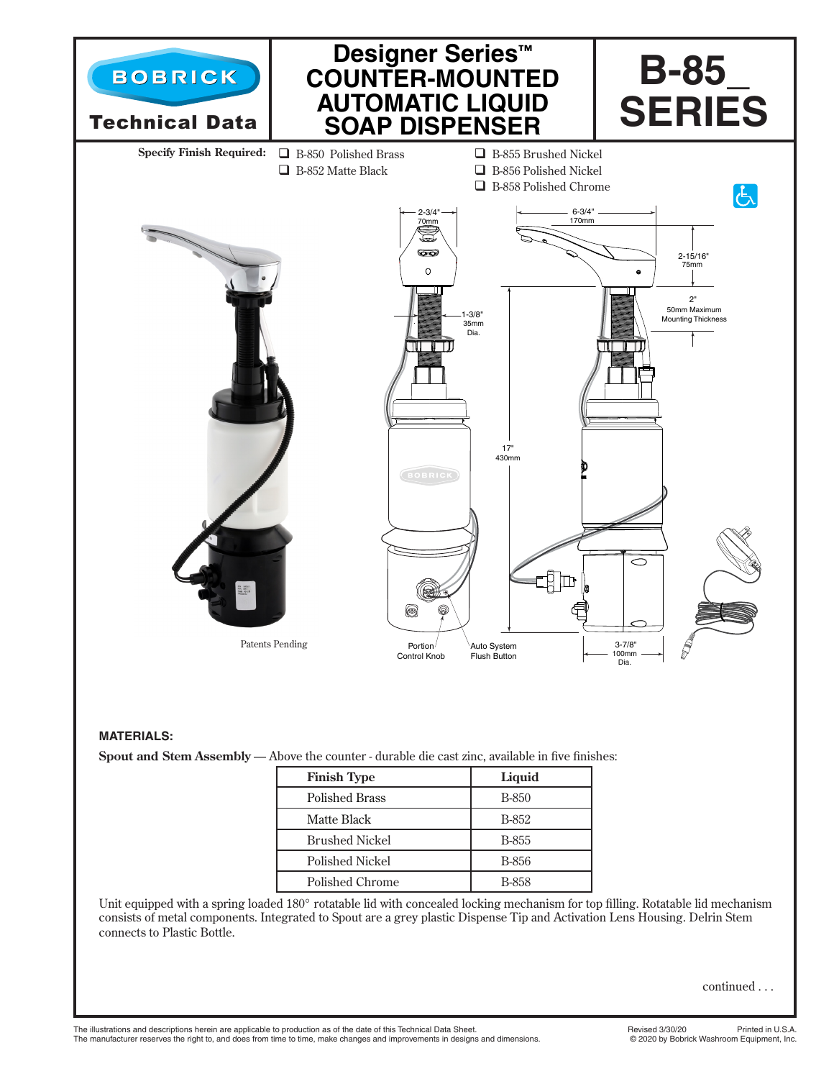

## **MATERIALS:**

**Spout and Stem Assembly** — Above the counter - durable die cast zinc, available in five finishes:

| <b>Finish Type</b>    | Liquid       |
|-----------------------|--------------|
| <b>Polished Brass</b> | B-850        |
| Matte Black           | B-852        |
| <b>Brushed Nickel</b> | B-855        |
| Polished Nickel       | B-856        |
| Polished Chrome       | <b>B-858</b> |

Unit equipped with a spring loaded 180° rotatable lid with concealed locking mechanism for top filling. Rotatable lid mechanism consists of metal components. Integrated to Spout are a grey plastic Dispense Tip and Activation Lens Housing. Delrin Stem connects to Plastic Bottle.

continued . . .

The illustrations and descriptions herein are applicable to production as of the date of this Technical Data Sheet.<br>The manufacturer reserves the right to, and does from time to time, make changes and improvements in desig